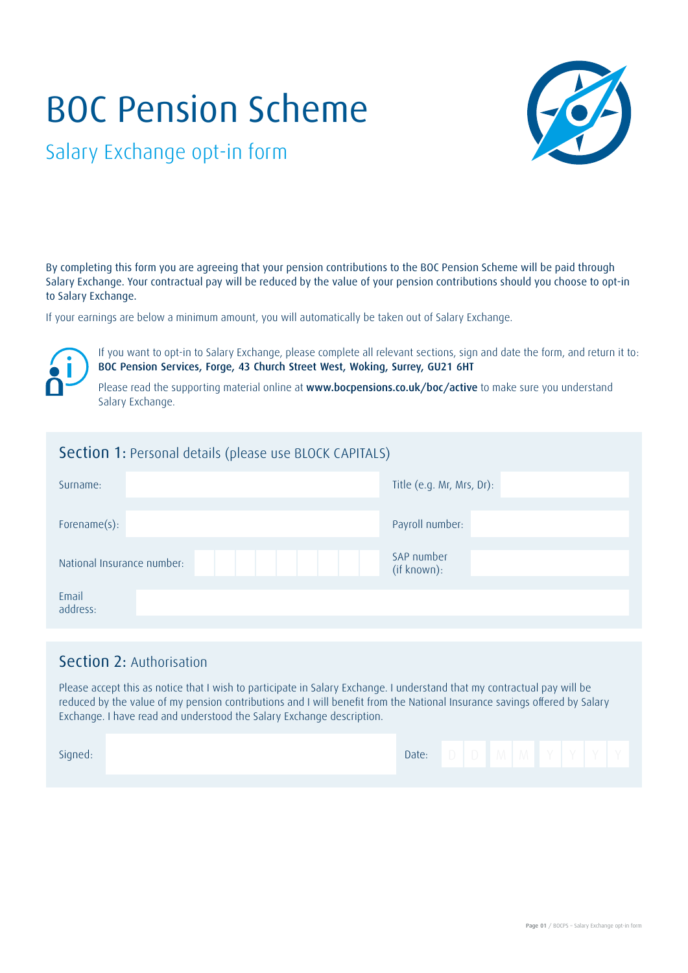# BOC Pension Scheme



Salary Exchange opt-in form

By completing this form you are agreeing that your pension contributions to the BOC Pension Scheme will be paid through Salary Exchange. Your contractual pay will be reduced by the value of your pension contributions should you choose to opt-in to Salary Exchange.

If your earnings are below a minimum amount, you will automatically be taken out of Salary Exchange.



If you want to opt-in to Salary Exchange, please complete all relevant sections, sign and date the form, and return it to: BOC Pension Services, Forge, 43 Church Street West, Woking, Surrey, GU21 6HT

Please read the supporting material online at www.bocpensions.co.uk/boc/active to make sure you understand Salary Exchange.

## Section 1: Personal details (please use BLOCK CAPITALS)

| Surname:                   | Title (e.g. Mr, Mrs, Dr): |  |  |  |  |  |  |
|----------------------------|---------------------------|--|--|--|--|--|--|
| Forename(s):               | Payroll number:           |  |  |  |  |  |  |
| National Insurance number: | SAP number<br>(if known): |  |  |  |  |  |  |
| Email<br>address:          |                           |  |  |  |  |  |  |

## Section 2: Authorisation

Please accept this as notice that I wish to participate in Salary Exchange. I understand that my contractual pay will be reduced by the value of my pension contributions and I will benefit from the National Insurance savings offered by Salary Exchange. I have read and understood the Salary Exchange description.

| Signed: | Date: |  | IV I | <b>Service</b> |  |  |
|---------|-------|--|------|----------------|--|--|
|         |       |  |      |                |  |  |